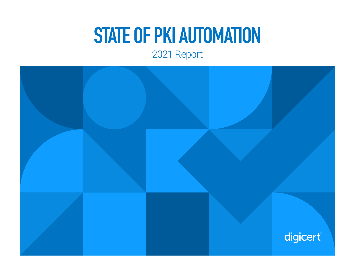# **STATE OF PKI AUTOMATION**

### 2021 Report

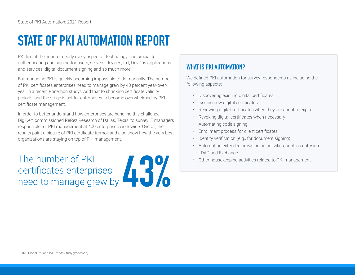## **STATE OF PKI AUTOMATION REPORT**

PKI lies at the heart of nearly every aspect of technology. It is crucial to authenticating and signing for users, servers, devices, IoT, DevOps applications and services, digital document signing and so much more.

But managing PKI is quickly becoming impossible to do manually. The number of PKI certificates enterprises need to manage grew by 43 percent year-overyear in a recent Ponemon study<sup>1</sup>. Add that to shrinking certificate validity periods, and the stage is set for enterprises to become overwhelmed by PKI certificate management.

In order to better understand how enterprises are handling this challenge, DigiCert commissioned ReRez Research of Dallas, Texas, to survey IT managers responsible for PKI management at 400 enterprises worldwide. Overall, the results paint a picture of PKI certificate turmoil and also show how the very best organizations are staying on top of PKI management.

The number of PKI certificates enterprises need to manage grew by

### **WHAT IS PKI AUTOMATION?**

We defined PKI automation for survey respondents as including the following aspects:

- Discovering existing digital certificates
- Issuing new digital certificates
- Renewing digital certificates when they are about to expire
- Revoking digital certificates when necessary
- Automating code signing
- Enrollment process for client certificates
- Identity verification (e.g., for document signing)
- Automating extended provisioning activities, such as entry into LDAP and Exchange
- Other housekeeping activities related to PKI management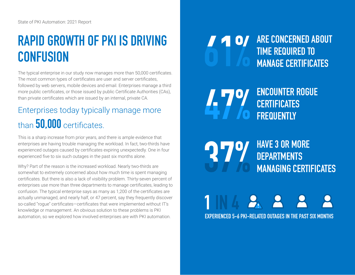## **RAPID GROWTH OF PKI IS DRIVING CONFUSION**

The typical enterprise in our study now manages more than 50,000 certificates. The most common types of certificates are user and server certificates, followed by web servers, mobile devices and email. Enterprises manage a third more public certificates, or those issued by public Certificate Authorities (CAs), than private certificates which are issued by an internal, private CA.

### Enterprises today typically manage more than **50,000** certificates.

This is a sharp increase from prior years, and there is ample evidence that enterprises are having trouble managing the workload. In fact, two-thirds have experienced outages caused by certificates expiring unexpectedly. One in four experienced five to six such outages in the past six months alone.

Why? Part of the reason is the increased workload. Nearly two-thirds are somewhat to extremely concerned about how much time is spent managing certificates. But there is also a lack of visibility problem. Thirty-seven percent of enterprises use more than three departments to manage certificates, leading to confusion. The typical enterprise says as many as 1,200 of the certificates are actually unmanaged, and nearly half, or 47 percent, say they frequently discover so-called "rogue" certificates—certificates that were implemented without IT's knowledge or management. An obvious solution to these problems is PKI automation, so we explored how involved enterprises are with PKI automation.

0/

**ARE CONCERNED ABOUT TIME REQUIRED TO MANAGE CERTIFICATES**

**ENCOUNTER ROGUE CERTIFICATES FREQUENTLY**

**HAVE 3 OR MORE**  27% **DEPARTMENTS MANAGING CERTIFICATES**

**EXPERIENCED 5-6 PKI-RELATED OUTAGES IN THE PAST SIX MONTHS**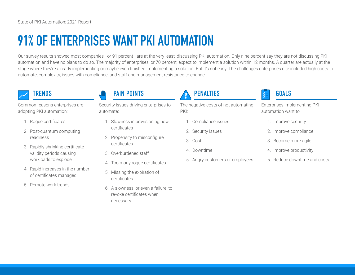## **91% OF ENTERPRISES WANT PKI AUTOMATION**

Our survey results showed most companies—or 91 percent—are at the very least, discussing PKI automation. Only nine percent say they are not discussing PKI automation and have no plans to do so. The majority of enterprises, or 70 percent, expect to implement a solution within 12 months. A quarter are actually at the stage where they're already implementing or maybe even finished implementing a solution. But it's not easy. The challenges enterprises cite included high costs to automate, complexity, issues with compliance, and staff and management resistance to change.

Common reasons enterprises are adopting PKI automation:

- 1. Rogue certificates
- 2. Post-quantum computing readiness
- 3. Rapidly shrinking certificate validity periods causing workloads to explode
- 4. Rapid increases in the number of certificates managed
- 5. Remote work trends

### TRENDS TRENDS TRENDS TRENDS TRENDS TRENDS TRENDS TRENDS TRENDS TRENDS TRENDS TRENDS TRENDS TRENDS TRENDS TRENDS

Security issues driving enterprises to automate:

- 1. Slowness in provisioning new certificates
- 2. Propensity to misconfigure certificates
- 3. Overburdened staff
- 4. Too many rogue certificates
- 5. Missing the expiration of certificates
- 6. A slowness, or even a failure, to revoke certificates when necessary

The negative costs of not automating PKI:

- 1. Compliance issues
- 2. Security issues
- 3. Cost
- 4. Downtime
- 5. Angry customers or employees

Enterprises implementing PKI automation want to:

- 1. Improve security
- 2. Improve compliance
- 3. Become more agile
- 4. Improve productivity
- 5. Reduce downtime and costs.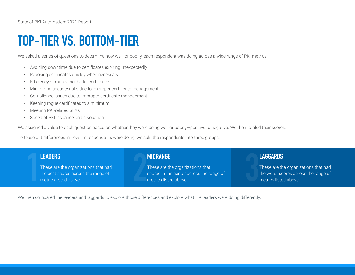### **TOP-TIER VS. BOTTOM-TIER**

We asked a series of questions to determine how well, or poorly, each respondent was doing across a wide range of PKI metrics:

- Avoiding downtime due to certificates expiring unexpectedly
- Revoking certificates quickly when necessary
- Efficiency of managing digital certificates
- Minimizing security risks due to improper certificate management
- Compliance issues due to improper certificate management
- Keeping rogue certificates to a minimum
- Meeting PKI-related SLAs
- Speed of PKI issuance and revocation

We assigned a value to each question based on whether they were doing well or poorly-positive to negative. We then totaled their scores.

To tease out differences in how the respondents were doing, we split the respondents into three groups:

# **1 LEADERS**

These are the organizations that had the best scores across the range of metrics listed above.

#### **MIDRANGE**

These are the organizations that **SCORE 19 ANDRANGE**<br>These are the organizations that<br>scored in the center across the range of<br>metrics listed above.

### **LAGGARDS**

These are the organizations that had the worst scores across the range of metrics listed above.

We then compared the leaders and laggards to explore those differences and explore what the leaders were doing differently.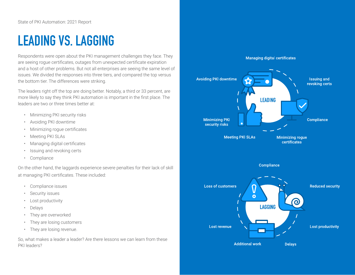### **LEADING VS. LAGGING**

Respondents were open about the PKI management challenges they face. They are seeing rogue certificates, outages from unexpected certificate expiration and a host of other problems. But not all enterprises are seeing the same level of issues. We divided the responses into three tiers, and compared the top versus the bottom tier. The differences were striking.

The leaders right off the top are doing better. Notably, a third or 33 percent, are more likely to say they think PKI automation is important in the first place. The leaders are two or three times better at:

- Minimizing PKI security risks
- Avoiding PKI downtime
- Minimizing rogue certificates
- Meeting PKI SLAs
- Managing digital certificates
- Issuing and revoking certs
- Compliance

On the other hand, the laggards experience severe penalties for their lack of skill at managing PKI certificates. These included:

- Compliance issues
- Security issues
- Lost productivity
- Delays
- They are overworked
- They are losing customers
- They are losing revenue.

So, what makes a leader a leader? Are there lessons we can learn from these PKI leaders?

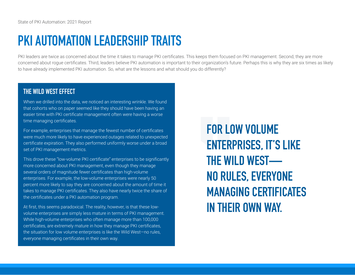### **PKI AUTOMATION LEADERSHIP TRAITS**

PKI leaders are twice as concerned about the time it takes to manage PKI certificates. This keeps them focused on PKI management. Second, they are more concerned about rogue certificates. Third, leaders believe PKI automation is important to their organization's future. Perhaps this is why they are six times as likely to have already implemented PKI automation. So, what are the lessons and what should you do differently?

#### **THE WILD WEST EFFECT**

When we drilled into the data, we noticed an interesting wrinkle. We found that cohorts who on paper seemed like they should have been having an easier time with PKI certificate management often were having a worse time managing certificates.

For example, enterprises that manage the fewest number of certificates were much more likely to have experienced outages related to unexpected certificate expiration. They also performed uniformly worse under a broad set of PKI management metrics.

This drove these "low-volume PKI certificate" enterprises to be significantly more concerned about PKI management, even though they manage several orders of magnitude fewer certificates than high-volume enterprises. For example, the low-volume enterprises were nearly 50 percent more likely to say they are concerned about the amount of time it takes to manage PKI certificates. They also have nearly twice the share of the certificates under a PKI automation program.

At first, this seems paradoxical. The reality, however, is that these lowvolume enterprises are simply less mature in terms of PKI management. While high-volume enterprises who often manage more than 100,000 certificates, are extremely mature in how they manage PKI certificates, the situation for low volume enterprises is like the Wild West—no rules, everyone managing certificates in their own way.

**FOR LOW VOLUME ENTERPRISES, IT'S LIKE THE WILD WEST— NO RULES, EVERYONE MANAGING CERTIFICATES IN THEIR OWN WAY.**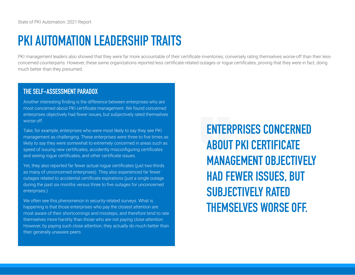### **PKI AUTOMATION LEADERSHIP TRAITS**

PKI management leaders also showed that they were far more accountable of their certificate inventories, conversely rating themselves worse-off than their lessconcerned counterparts. However, these same organizations reported less certificate-related outages or rogue certificates, proving that they were in fact, doing much better than they presumed.

#### **THE SELF-ASSESSMENT PARADOX**

Another interesting finding is the difference between enterprises who are most concerned about PKI certificate management. We found concerned enterprises objectively had fewer issues, but subjectively rated themselves worse off.

Take, for example, enterprises who were most likely to say they see PKI management as challenging. These enterprises were three to five times as likely to say they were somewhat to extremely concerned in areas such as speed of issuing new certificates, accidently misconfiguring certificates and seeing rogue certificates, and other certificate issues.

Yet, they also reported far fewer actual rogue certificates (just two-thirds as many of unconcerned enterprises). They also experienced far fewer outages related to accidental certificate expirations (just a single outage during the past six months versus three to five outages for unconcerned enterprises.)

We often see this phenomenon in security-related surveys. What is happening is that those enterprises who pay the closest attention are most aware of their shortcomings and missteps, and therefore tend to rate themselves more harshly than those who are not paying close attention. However, by paying such close attention, they actually do much better than their generally unaware peers.

**ENTERPRISES CONCERNED ABOUT PKI CERTIFICATE MANAGEMENT OBJECTIVELY HAD FEWER ISSUES, BUT SUBJECTIVELY RATED THEMSELVES WORSE OFF.**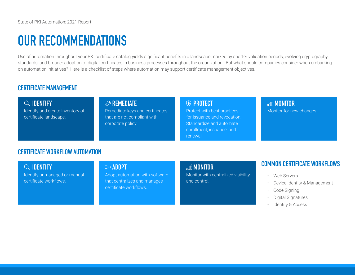### **OUR RECOMMENDATIONS**

Use of automation throughout your PKI certificate catalog yields significant benefits in a landscape marked by shorter validation periods, evolving cryptography standards, and broader adoption of digital certificates in business processes throughout the organization. But what should companies consider when embarking on automation initiatives? Here is a checklist of steps where automation may support certificate management objectives.

### **CERTIFICATE MANAGEMENT**

**IDENTIFY** Identify and create inventory of certificate landscape.

### **REMEDIATE**

Remediate keys and certificates that are not compliant with corporate policy

#### **PROTECT**

Protect with best practices for issuance and revocation. Standardize and automate enrollment, issuance, and renewal.

### **MONITOR**

Monitor for new changes.

#### **CERTIFICATE WORKFLOW AUTOMATION**

**IDENTIFY** Identify unmanaged or manual

certificate workflows.

#### **⇒ADOPT**

Adopt automation with software that centralizes and manages certificate workflows.

#### **MONITOR**

Monitor with centralized visibility and control.

#### **COMMON CERTIFICATE WORKFLOWS**

- Web Servers
- Device Identity & Management
- Code Signing
- Digital Signatures
- Identity & Access